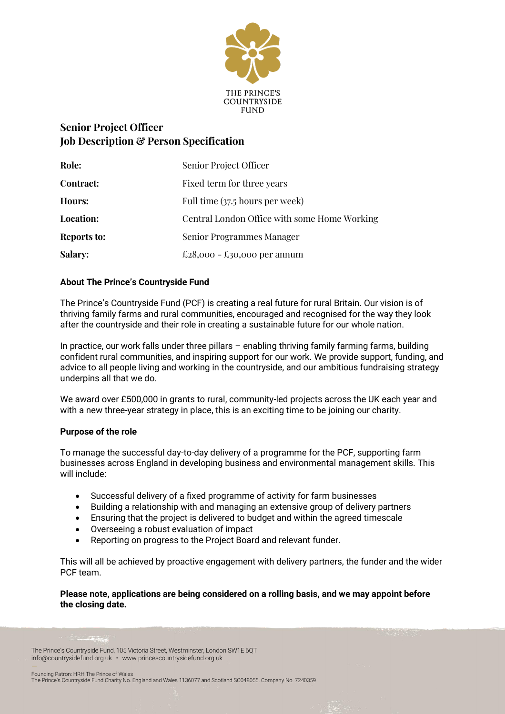

# **Senior Project Officer Job Description & Person Specification**

| Role:              | Senior Project Officer                       |
|--------------------|----------------------------------------------|
| Contract:          | Fixed term for three years                   |
| Hours:             | Full time (37.5 hours per week)              |
| <b>Location:</b>   | Central London Office with some Home Working |
| <b>Reports to:</b> | <b>Senior Programmes Manager</b>             |
| <b>Salary:</b>     | £28,000 − £30,000 per annum                  |

## **About The Prince's Countryside Fund**

The Prince's Countryside Fund (PCF) is creating a real future for rural Britain. Our vision is of thriving family farms and rural communities, encouraged and recognised for the way they look after the countryside and their role in creating a sustainable future for our whole nation.

In practice, our work falls under three pillars – enabling thriving family farming farms, building confident rural communities, and inspiring support for our work. We provide support, funding, and advice to all people living and working in the countryside, and our ambitious fundraising strategy underpins all that we do.

We award over £500,000 in grants to rural, community-led projects across the UK each year and with a new three-year strategy in place, this is an exciting time to be joining our charity.

### **Purpose of the role**

To manage the successful day-to-day delivery of a programme for the PCF, supporting farm businesses across England in developing business and environmental management skills. This will include:

- Successful delivery of a fixed programme of activity for farm businesses
- Building a relationship with and managing an extensive group of delivery partners
- Ensuring that the project is delivered to budget and within the agreed timescale
- Overseeing a robust evaluation of impact
- Reporting on progress to the Project Board and relevant funder.

This will all be achieved by proactive engagement with delivery partners, the funder and the wider PCF team.

#### **Please note, applications are being considered on a rolling basis, and we may appoint before the closing date.**

The Prince's Countryside Fund, 105 Victoria Street, Westminster, London SW1E 6QT info@countrysidefund.org.uk • www.princescountrysidefund.org.uk –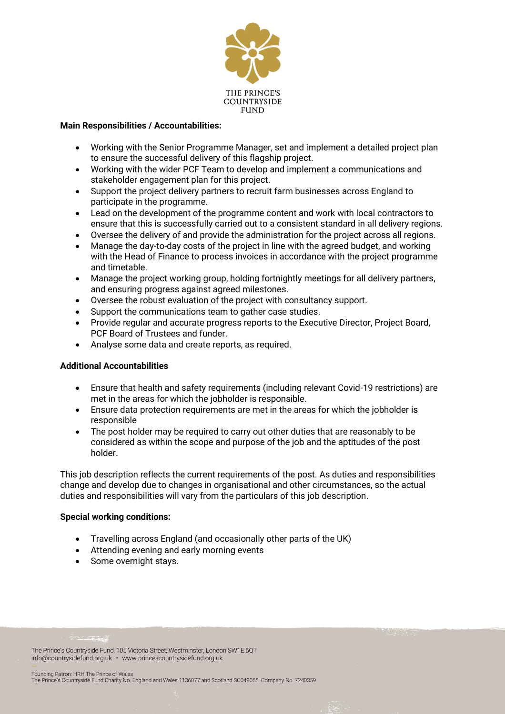

#### **Main Responsibilities / Accountabilities:**

- Working with the Senior Programme Manager, set and implement a detailed project plan to ensure the successful delivery of this flagship project.
- Working with the wider PCF Team to develop and implement a communications and stakeholder engagement plan for this project.
- Support the project delivery partners to recruit farm businesses across England to participate in the programme.
- Lead on the development of the programme content and work with local contractors to ensure that this is successfully carried out to a consistent standard in all delivery regions.
- Oversee the delivery of and provide the administration for the project across all regions.
- Manage the day-to-day costs of the project in line with the agreed budget, and working with the Head of Finance to process invoices in accordance with the project programme and timetable.
- Manage the project working group, holding fortnightly meetings for all delivery partners, and ensuring progress against agreed milestones.
- Oversee the robust evaluation of the project with consultancy support.
- Support the communications team to gather case studies.
- Provide regular and accurate progress reports to the Executive Director, Project Board, PCF Board of Trustees and funder.
- Analyse some data and create reports, as required.

### **Additional Accountabilities**

- Ensure that health and safety requirements (including relevant Covid-19 restrictions) are met in the areas for which the jobholder is responsible.
- Ensure data protection requirements are met in the areas for which the jobholder is responsible
- The post holder may be required to carry out other duties that are reasonably to be considered as within the scope and purpose of the job and the aptitudes of the post holder.

This job description reflects the current requirements of the post. As duties and responsibilities change and develop due to changes in organisational and other circumstances, so the actual duties and responsibilities will vary from the particulars of this job description.

#### **Special working conditions:**

- Travelling across England (and occasionally other parts of the UK)
- Attending evening and early morning events
- Some overnight stays.

The Prince's Countryside Fund, 105 Victoria Street, Westminster, London SW1E 6QT info@countrysidefund.org.uk • www.princescountrysidefund.org.uk –